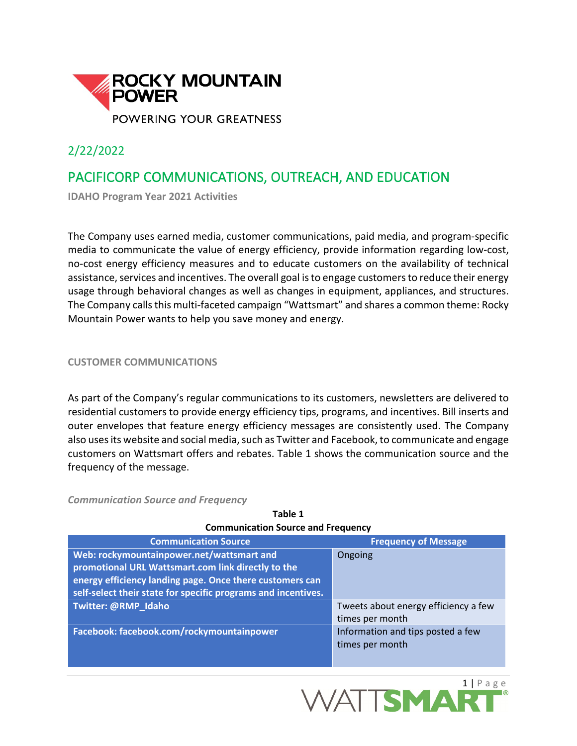

2/22/2022

# PACIFICORP COMMUNICATIONS, OUTREACH, AND EDUCATION

**IDAHO Program Year 2021 Activities**

The Company uses earned media, customer communications, paid media, and program-specific media to communicate the value of energy efficiency, provide information regarding low-cost, no-cost energy efficiency measures and to educate customers on the availability of technical assistance, services and incentives. The overall goal is to engage customers to reduce their energy usage through behavioral changes as well as changes in equipment, appliances, and structures. The Company calls this multi-faceted campaign "Wattsmart" and shares a common theme: Rocky Mountain Power wants to help you save money and energy.

**CUSTOMER COMMUNICATIONS**

As part of the Company's regular communications to its customers, newsletters are delivered to residential customers to provide energy efficiency tips, programs, and incentives. Bill inserts and outer envelopes that feature energy efficiency messages are consistently used. The Company also uses its website and social media, such as Twitter and Facebook, to communicate and engage customers on Wattsmart offers and rebates. Table 1 shows the communication source and the frequency of the message.

*Communication Source and Frequency*

| communication boardd and Frequency                            |                                      |  |  |
|---------------------------------------------------------------|--------------------------------------|--|--|
| <b>Communication Source</b>                                   | <b>Frequency of Message</b>          |  |  |
| Web: rockymountainpower.net/wattsmart and                     | Ongoing                              |  |  |
| promotional URL Wattsmart.com link directly to the            |                                      |  |  |
| energy efficiency landing page. Once there customers can      |                                      |  |  |
| self-select their state for specific programs and incentives. |                                      |  |  |
| Twitter: @RMP_Idaho                                           | Tweets about energy efficiency a few |  |  |
|                                                               | times per month                      |  |  |
| Facebook: facebook.com/rockymountainpower                     | Information and tips posted a few    |  |  |
|                                                               | times per month                      |  |  |
|                                                               |                                      |  |  |

**Table 1 Communication Source and Frequency**

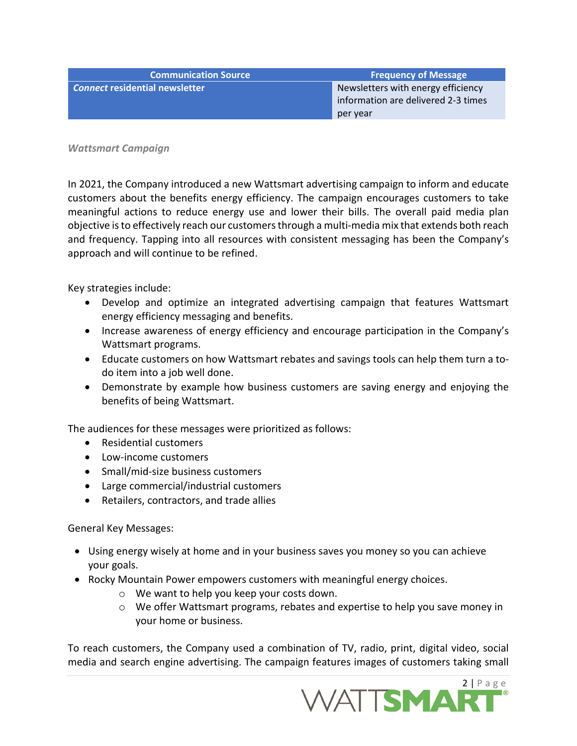**Communication Source Frequency of Message Connect residential newsletter Newsletter Newsletters with energy efficiency** information are delivered 2-3 times per year

*Wattsmart Campaign*

In 2021, the Company introduced a new Wattsmart advertising campaign to inform and educate customers about the benefits energy efficiency. The campaign encourages customers to take meaningful actions to reduce energy use and lower their bills. The overall paid media plan objective is to effectively reach our customers through a multi-media mix that extends both reach and frequency. Tapping into all resources with consistent messaging has been the Company's approach and will continue to be refined.

Key strategies include:

- Develop and optimize an integrated advertising campaign that features Wattsmart energy efficiency messaging and benefits.
- Increase awareness of energy efficiency and encourage participation in the Company's Wattsmart programs.
- Educate customers on how Wattsmart rebates and savings tools can help them turn a todo item into a job well done.
- Demonstrate by example how business customers are saving energy and enjoying the benefits of being Wattsmart.

The audiences for these messages were prioritized as follows:

- Residential customers
- Low-income customers
- Small/mid-size business customers
- Large commercial/industrial customers
- Retailers, contractors, and trade allies

General Key Messages:

- Using energy wisely at home and in your business saves you money so you can achieve your goals.
- Rocky Mountain Power empowers customers with meaningful energy choices.
	- o We want to help you keep your costs down.
	- o We offer Wattsmart programs, rebates and expertise to help you save money in your home or business.

To reach customers, the Company used a combination of TV, radio, print, digital video, social media and search engine advertising. The campaign features images of customers taking small

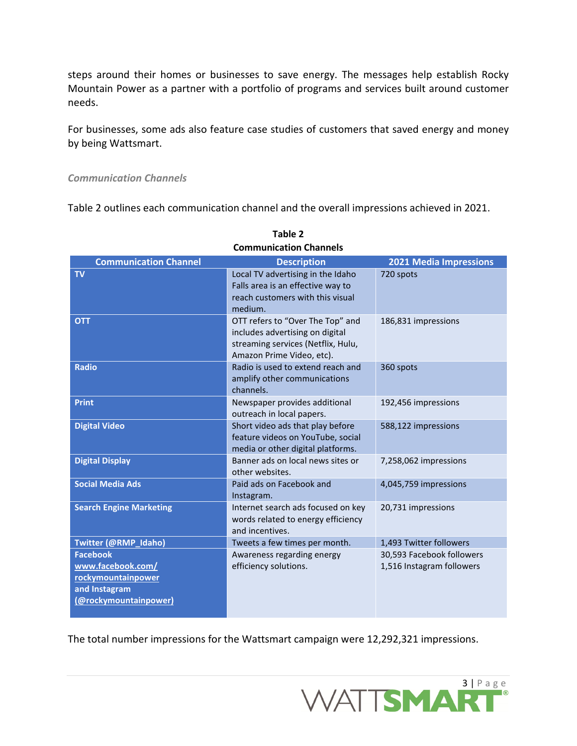steps around their homes or businesses to save energy. The messages help establish Rocky Mountain Power as a partner with a portfolio of programs and services built around customer needs.

For businesses, some ads also feature case studies of customers that saved energy and money by being Wattsmart.

#### *Communication Channels*

Table 2 outlines each communication channel and the overall impressions achieved in 2021.

| <b>Communication Channel</b>                                                                         | <b>Description</b>                                                                                                                     | <b>2021 Media Impressions</b>                          |
|------------------------------------------------------------------------------------------------------|----------------------------------------------------------------------------------------------------------------------------------------|--------------------------------------------------------|
| <b>TV</b>                                                                                            | Local TV advertising in the Idaho<br>Falls area is an effective way to                                                                 | 720 spots                                              |
|                                                                                                      | reach customers with this visual<br>medium.                                                                                            |                                                        |
| <b>OTT</b>                                                                                           | OTT refers to "Over The Top" and<br>includes advertising on digital<br>streaming services (Netflix, Hulu,<br>Amazon Prime Video, etc). | 186,831 impressions                                    |
| <b>Radio</b>                                                                                         | Radio is used to extend reach and<br>amplify other communications<br>channels.                                                         | 360 spots                                              |
| <b>Print</b>                                                                                         | Newspaper provides additional<br>outreach in local papers.                                                                             | 192,456 impressions                                    |
| <b>Digital Video</b>                                                                                 | Short video ads that play before<br>feature videos on YouTube, social<br>media or other digital platforms.                             | 588,122 impressions                                    |
| <b>Digital Display</b>                                                                               | Banner ads on local news sites or<br>other websites.                                                                                   | 7,258,062 impressions                                  |
| <b>Social Media Ads</b>                                                                              | Paid ads on Facebook and<br>Instagram.                                                                                                 | 4,045,759 impressions                                  |
| <b>Search Engine Marketing</b>                                                                       | Internet search ads focused on key<br>words related to energy efficiency<br>and incentives.                                            | 20,731 impressions                                     |
| Twitter (@RMP_Idaho)                                                                                 | Tweets a few times per month.                                                                                                          | 1,493 Twitter followers                                |
| <b>Facebook</b><br>www.facebook.com/<br>rockymountainpower<br>and Instagram<br>(@rockymountainpower) | Awareness regarding energy<br>efficiency solutions.                                                                                    | 30,593 Facebook followers<br>1,516 Instagram followers |

**Table 2 Communication Channels**

The total number impressions for the Wattsmart campaign were 12,292,321 impressions.

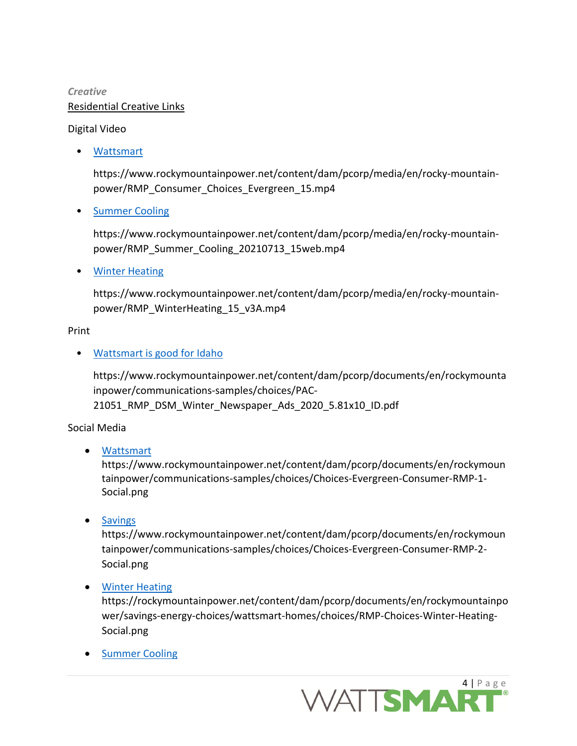# *Creative* Residential Creative Links

### Digital Video

• [Wattsmart](https://www.rockymountainpower.net/content/dam/pcorp/media/en/rocky-mountain-power/RMP_Consumer_Choices_Evergreen_15.mp4)

https://www.rockymountainpower.net/content/dam/pcorp/media/en/rocky-mountainpower/RMP\_Consumer\_Choices\_Evergreen\_15.mp4

• [Summer Cooling](https://www.rockymountainpower.net/content/dam/pcorp/media/en/rocky-mountain-power/RMP_Summer_Cooling_20210713_15web.mp4)

https://www.rockymountainpower.net/content/dam/pcorp/media/en/rocky-mountainpower/RMP\_Summer\_Cooling\_20210713\_15web.mp4

• [Winter Heating](https://www.rockymountainpower.net/content/dam/pcorp/media/en/rocky-mountain-power/RMP_WinterHeating_15_v3A.mp4)

https://www.rockymountainpower.net/content/dam/pcorp/media/en/rocky-mountainpower/RMP\_WinterHeating\_15\_v3A.mp4

### Print

# • [Wattsmart is good for Idaho](https://www.rockymountainpower.net/content/dam/pcorp/documents/en/rockymountainpower/communications-samples/choices/PAC-21051_RMP_DSM_Winter_Newspaper_Ads_2020_5.81x10_ID.pdf)

https://www.rockymountainpower.net/content/dam/pcorp/documents/en/rockymounta inpower/communications-samples/choices/PAC-21051\_RMP\_DSM\_Winter\_Newspaper\_Ads\_2020\_5.81x10\_ID.pdf

### Social Media

• [Wattsmart](https://www.rockymountainpower.net/content/dam/pcorp/documents/en/rockymountainpower/communications-samples/choices/Choices-Evergreen-Consumer-RMP-1-Social.png)

https://www.rockymountainpower.net/content/dam/pcorp/documents/en/rockymoun tainpower/communications-samples/choices/Choices-Evergreen-Consumer-RMP-1- Social.png

• [Savings](https://www.rockymountainpower.net/content/dam/pcorp/documents/en/rockymountainpower/communications-samples/choices/Choices-Evergreen-Consumer-RMP-2-Social.png)

https://www.rockymountainpower.net/content/dam/pcorp/documents/en/rockymoun tainpower/communications-samples/choices/Choices-Evergreen-Consumer-RMP-2- Social.png

• [Winter Heating](https://www.rockymountainpower.net/content/dam/pcorp/documents/en/rockymountainpower/communications-samples/choices/RMP-Choices-Winter-Heating-Social.png)

https://rockymountainpower.net/content/dam/pcorp/documents/en/rockymountainpo wer/savings-energy-choices/wattsmart-homes/choices/RMP-Choices-Winter-Heating-Social.png

• [Summer Cooling](https://rockymountainpower.net/content/dam/pcorp/documents/en/rockymountainpower/communications-samples/choices/RMP-Choices-Summer-Cooling-social.png)

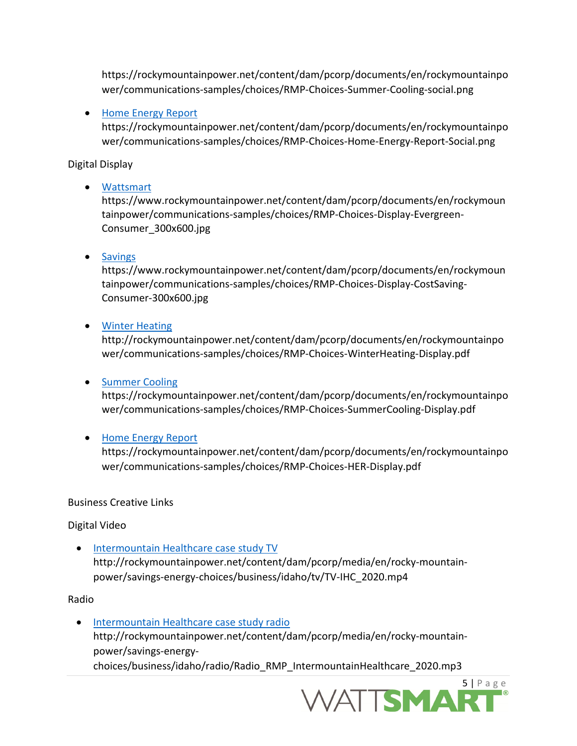https://rockymountainpower.net/content/dam/pcorp/documents/en/rockymountainpo wer/communications-samples/choices/RMP-Choices-Summer-Cooling-social.png

#### • [Home Energy Report](https://rockymountainpower.net/content/dam/pcorp/documents/en/rockymountainpower/communications-samples/choices/RMP-Choices-Home-Energy-Report-Social.png)

https://rockymountainpower.net/content/dam/pcorp/documents/en/rockymountainpo wer/communications-samples/choices/RMP-Choices-Home-Energy-Report-Social.png

Digital Display

#### • [Wattsmart](https://www.rockymountainpower.net/content/dam/pcorp/documents/en/rockymountainpower/communications-samples/choices/RMP-Choices-Display-Evergreen-Consumer_300x600.jpg)

https://www.rockymountainpower.net/content/dam/pcorp/documents/en/rockymoun tainpower/communications-samples/choices/RMP-Choices-Display-Evergreen-Consumer\_300x600.jpg

#### • [Savings](https://www.rockymountainpower.net/content/dam/pcorp/documents/en/rockymountainpower/communications-samples/choices/RMP-Choices-Display-CostSaving-Consumer-300x600.jpg)

https://www.rockymountainpower.net/content/dam/pcorp/documents/en/rockymoun tainpower/communications-samples/choices/RMP-Choices-Display-CostSaving-Consumer-300x600.jpg

#### • [Winter Heating](http://rockymountainpower.net/content/dam/pcorp/documents/en/rockymountainpower/communications-samples/choices/RMP-Choices-WinterHeating-Display.pdf)

http://rockymountainpower.net/content/dam/pcorp/documents/en/rockymountainpo wer/communications-samples/choices/RMP-Choices-WinterHeating-Display.pdf

#### • [Summer Cooling](https://rockymountainpower.net/content/dam/pcorp/documents/en/rockymountainpower/communications-samples/choices/RMP-Choices-SummerCooling-Display.pdf)

https://rockymountainpower.net/content/dam/pcorp/documents/en/rockymountainpo wer/communications-samples/choices/RMP-Choices-SummerCooling-Display.pdf

### • [Home Energy Report](https://rockymountainpower.net/content/dam/pcorp/documents/en/rockymountainpower/communications-samples/choices/RMP-Choices-HER-Display.pdf)

https://rockymountainpower.net/content/dam/pcorp/documents/en/rockymountainpo wer/communications-samples/choices/RMP-Choices-HER-Display.pdf

#### Business Creative Links

Digital Video

• [Intermountain Healthcare case study TV](http://rockymountainpower.net/content/dam/pcorp/media/en/rocky-mountain-power/savings-energy-choices/business/idaho/tv/TV-IHC_2020.mp4) http://rockymountainpower.net/content/dam/pcorp/media/en/rocky-mountainpower/savings-energy-choices/business/idaho/tv/TV-IHC\_2020.mp4

#### Radio

• [Intermountain Healthcare case study radio](http://rockymountainpower.net/content/dam/pcorp/media/en/rocky-mountain-power/savings-energy-choices/business/idaho/radio/Radio_RMP_IntermountainHealthcare_2020.mp3) http://rockymountainpower.net/content/dam/pcorp/media/en/rocky-mountainpower/savings-energychoices/business/idaho/radio/Radio\_RMP\_IntermountainHealthcare\_2020.mp3

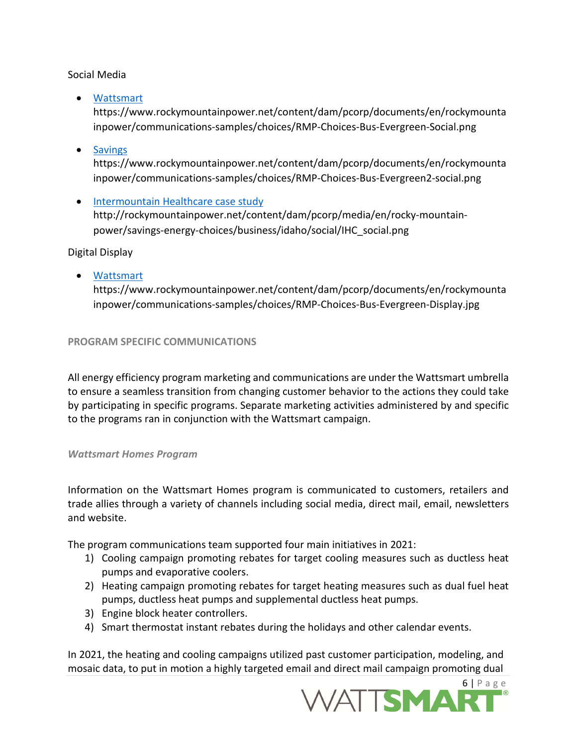Social Media

• [Wattsmart](https://www.rockymountainpower.net/content/dam/pcorp/documents/en/rockymountainpower/communications-samples/choices/RMP-Choices-Bus-Evergreen-Social.png)

https://www.rockymountainpower.net/content/dam/pcorp/documents/en/rockymounta inpower/communications-samples/choices/RMP-Choices-Bus-Evergreen-Social.png

• [Savings](https://www.rockymountainpower.net/content/dam/pcorp/documents/en/rockymountainpower/communications-samples/choices/RMP-Choices-Bus-Evergreen2-social.png)

https://www.rockymountainpower.net/content/dam/pcorp/documents/en/rockymounta inpower/communications-samples/choices/RMP-Choices-Bus-Evergreen2-social.png

• [Intermountain Healthcare case study](http://rockymountainpower.net/content/dam/pcorp/media/en/rocky-mountain-power/savings-energy-choices/business/idaho/social/IHC_social.png) http://rockymountainpower.net/content/dam/pcorp/media/en/rocky-mountainpower/savings-energy-choices/business/idaho/social/IHC\_social.png

Digital Display

• [Wattsmart](https://www.rockymountainpower.net/content/dam/pcorp/documents/en/rockymountainpower/communications-samples/choices/RMP-Choices-Bus-Evergreen-Display.jpg) https://www.rockymountainpower.net/content/dam/pcorp/documents/en/rockymounta inpower/communications-samples/choices/RMP-Choices-Bus-Evergreen-Display.jpg

#### **PROGRAM SPECIFIC COMMUNICATIONS**

All energy efficiency program marketing and communications are under the Wattsmart umbrella to ensure a seamless transition from changing customer behavior to the actions they could take by participating in specific programs. Separate marketing activities administered by and specific to the programs ran in conjunction with the Wattsmart campaign.

#### *Wattsmart Homes Program*

Information on the Wattsmart Homes program is communicated to customers, retailers and trade allies through a variety of channels including social media, direct mail, email, newsletters and website.

The program communications team supported four main initiatives in 2021:

- 1) Cooling campaign promoting rebates for target cooling measures such as ductless heat pumps and evaporative coolers.
- 2) Heating campaign promoting rebates for target heating measures such as dual fuel heat pumps, ductless heat pumps and supplemental ductless heat pumps.
- 3) Engine block heater controllers.
- 4) Smart thermostat instant rebates during the holidays and other calendar events.

In 2021, the heating and cooling campaigns utilized past customer participation, modeling, and mosaic data, to put in motion a highly targeted email and direct mail campaign promoting dual

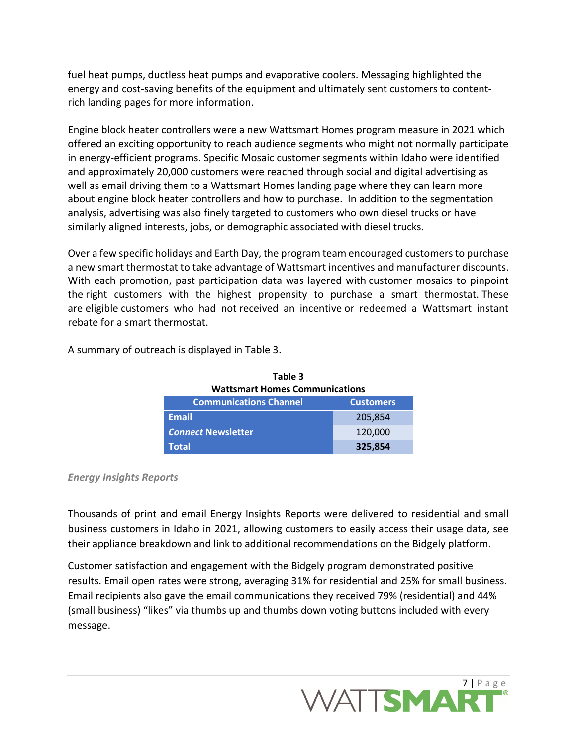fuel heat pumps, ductless heat pumps and evaporative coolers. Messaging highlighted the energy and cost-saving benefits of the equipment and ultimately sent customers to contentrich landing pages for more information. 

Engine block heater controllers were a new Wattsmart Homes program measure in 2021 which offered an exciting opportunity to reach audience segments who might not normally participate in energy-efficient programs. Specific Mosaic customer segments within Idaho were identified and approximately 20,000 customers were reached through social and digital advertising as well as email driving them to a Wattsmart Homes landing page where they can learn more about engine block heater controllers and how to purchase. In addition to the segmentation analysis, advertising was also finely targeted to customers who own diesel trucks or have similarly aligned interests, jobs, or demographic associated with diesel trucks.

Over a few specific holidays and Earth Day, the program team encouraged customers to purchase a new smart thermostat to take advantage of Wattsmart incentives and manufacturer discounts. With each promotion, past participation data was layered with customer mosaics to pinpoint the right customers with the highest propensity to purchase a smart thermostat. These are eligible customers who had not received an incentive or redeemed a Wattsmart instant rebate for a smart thermostat.

| <b>Wattsmart Homes Communications</b> |                  |  |
|---------------------------------------|------------------|--|
| <b>Communications Channel</b>         | <b>Customers</b> |  |
| <b>Email</b>                          | 205,854          |  |
| <b>Connect Newsletter</b>             | 120,000          |  |
| Total                                 | 325,854          |  |

**Table 3**

A summary of outreach is displayed in Table 3.

#### *Energy Insights Reports*

Thousands of print and email Energy Insights Reports were delivered to residential and small business customers in Idaho in 2021, allowing customers to easily access their usage data, see their appliance breakdown and link to additional recommendations on the Bidgely platform.

Customer satisfaction and engagement with the Bidgely program demonstrated positive results. Email open rates were strong, averaging 31% for residential and 25% for small business. Email recipients also gave the email communications they received 79% (residential) and 44% (small business) "likes" via thumbs up and thumbs down voting buttons included with every message.